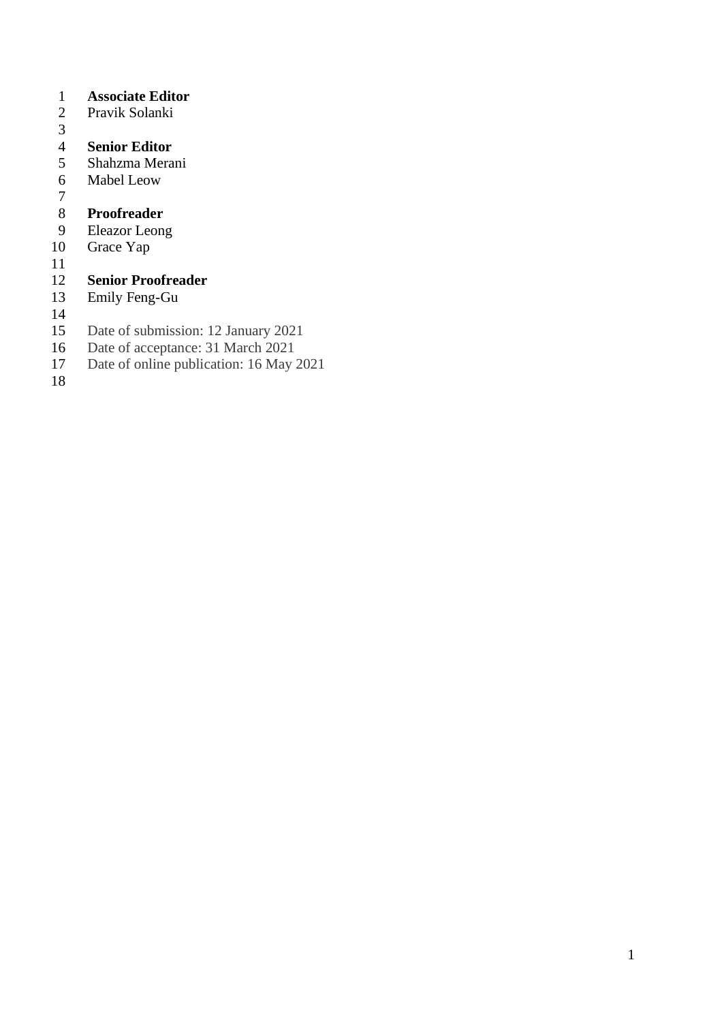# **Associate Editor**

- Pravik Solanki
- $\frac{3}{4}$

- **Senior Editor** Shahzma Merani
- Mabel Leow
- 

# **Proofreader**

- Eleazor Leong
- Grace Yap
- 

# **Senior Proofreader**

- Emily Feng-Gu
- $\frac{14}{15}$
- 15 Date of submission: 12 January 2021<br>16 Date of acceptance: 31 March 2021
- 16 Date of acceptance: 31 March 2021<br>17 Date of online publication: 16 May 2
- Date of online publication: 16 May 2021
-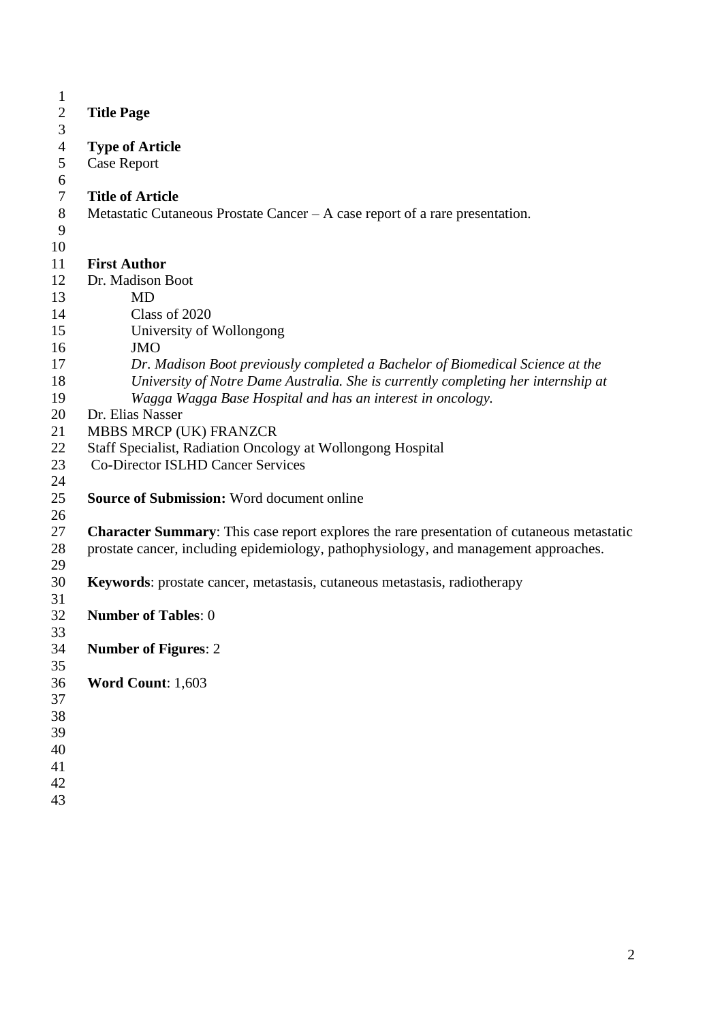| $\mathbf{1}$     |                                                                                                   |
|------------------|---------------------------------------------------------------------------------------------------|
| $\overline{2}$   | <b>Title Page</b>                                                                                 |
| 3                |                                                                                                   |
| $\overline{4}$   | <b>Type of Article</b>                                                                            |
| 5                | <b>Case Report</b>                                                                                |
| 6                |                                                                                                   |
| $\boldsymbol{7}$ | <b>Title of Article</b>                                                                           |
| $8\,$            | Metastatic Cutaneous Prostate Cancer – A case report of a rare presentation.                      |
| 9                |                                                                                                   |
| 10               |                                                                                                   |
| 11               | <b>First Author</b>                                                                               |
| 12               | Dr. Madison Boot                                                                                  |
| 13               | <b>MD</b>                                                                                         |
| 14               | Class of 2020                                                                                     |
| 15               | University of Wollongong                                                                          |
| 16               | <b>JMO</b>                                                                                        |
| 17               | Dr. Madison Boot previously completed a Bachelor of Biomedical Science at the                     |
| 18               | University of Notre Dame Australia. She is currently completing her internship at                 |
| 19               | Wagga Wagga Base Hospital and has an interest in oncology.                                        |
| 20               | Dr. Elias Nasser                                                                                  |
| 21               | MBBS MRCP (UK) FRANZCR                                                                            |
| 22               | Staff Specialist, Radiation Oncology at Wollongong Hospital                                       |
| 23               | <b>Co-Director ISLHD Cancer Services</b>                                                          |
| 24               |                                                                                                   |
| 25               | <b>Source of Submission: Word document online</b>                                                 |
| 26               |                                                                                                   |
| 27               | <b>Character Summary:</b> This case report explores the rare presentation of cutaneous metastatic |
| 28               | prostate cancer, including epidemiology, pathophysiology, and management approaches.              |
| 29               |                                                                                                   |
| 30               | Keywords: prostate cancer, metastasis, cutaneous metastasis, radiotherapy                         |
| 31               |                                                                                                   |
| 32               | <b>Number of Tables: 0</b>                                                                        |
| 33               |                                                                                                   |
| 34               | <b>Number of Figures: 2</b>                                                                       |
| 35               |                                                                                                   |
| 36               | Word Count: 1,603                                                                                 |
| 37               |                                                                                                   |
| 38               |                                                                                                   |
| 39               |                                                                                                   |
| 40               |                                                                                                   |
| 41               |                                                                                                   |
| 42               |                                                                                                   |
| 43               |                                                                                                   |
|                  |                                                                                                   |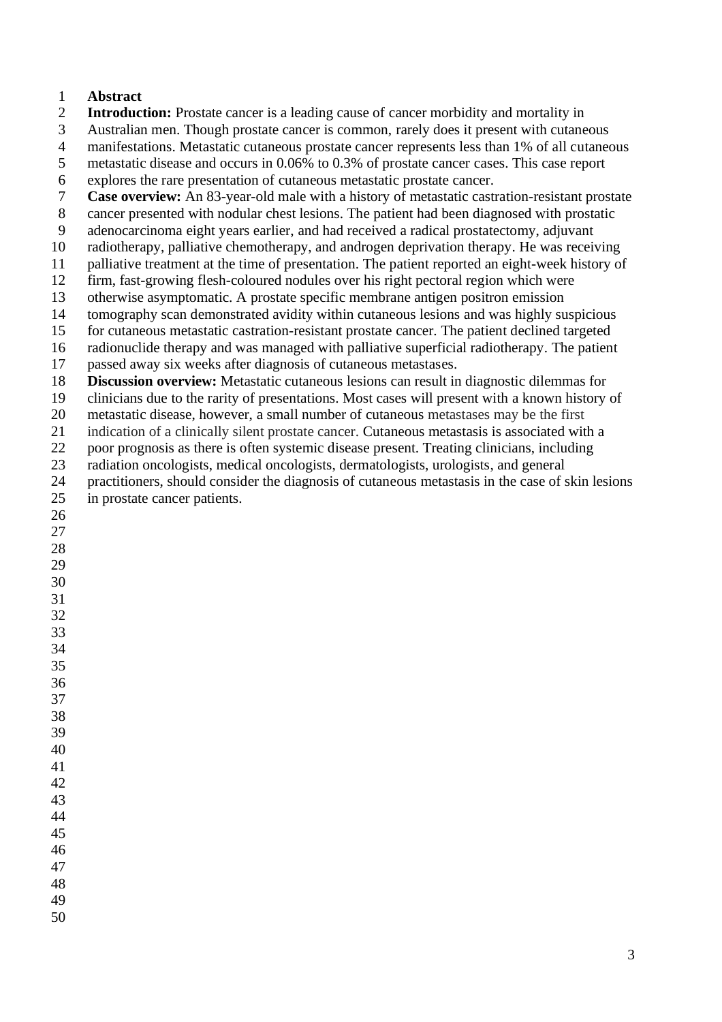#### **Abstract**

- **Introduction:** Prostate cancer is a leading cause of cancer morbidity and mortality in
- Australian men. Though prostate cancer is common, rarely does it present with cutaneous
- manifestations. Metastatic cutaneous prostate cancer represents less than 1% of all cutaneous
- metastatic disease and occurs in 0.06% to 0.3% of prostate cancer cases. This case report
- 6 explores the rare presentation of cutaneous metastatic prostate cancer.<br> **Case overview:** An 83-vear-old male with a history of metastatic cast
- **Case overview:** An 83-year-old male with a history of metastatic castration-resistant prostate
- cancer presented with nodular chest lesions. The patient had been diagnosed with prostatic
- adenocarcinoma eight years earlier, and had received a radical prostatectomy, adjuvant
- radiotherapy, palliative chemotherapy, and androgen deprivation therapy. He was receiving
- palliative treatment at the time of presentation. The patient reported an eight-week history of
- firm, fast-growing flesh-coloured nodules over his right pectoral region which were
- otherwise asymptomatic. A prostate specific membrane antigen positron emission
- tomography scan demonstrated avidity within cutaneous lesions and was highly suspicious for cutaneous metastatic castration-resistant prostate cancer. The patient declined targeted
- radionuclide therapy and was managed with palliative superficial radiotherapy. The patient
- passed away six weeks after diagnosis of cutaneous metastases.
- **Discussion overview:** Metastatic cutaneous lesions can result in diagnostic dilemmas for
- clinicians due to the rarity of presentations. Most cases will present with a known history of
- metastatic disease, however, a small number of cutaneous metastases may be the first
- indication of a clinically silent prostate cancer. Cutaneous metastasis is associated with a
- poor prognosis as there is often systemic disease present. Treating clinicians, including
- radiation oncologists, medical oncologists, dermatologists, urologists, and general
- practitioners, should consider the diagnosis of cutaneous metastasis in the case of skin lesions in prostate cancer patients.

- 
-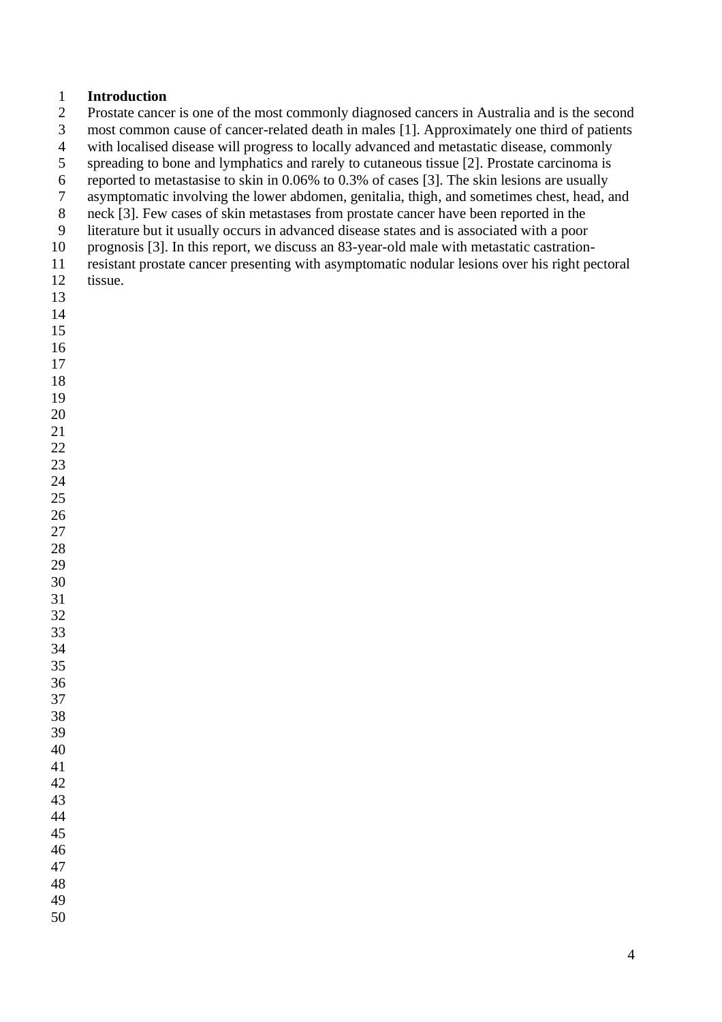#### **Introduction**

Prostate cancer is one of the most commonly diagnosed cancers in Australia and is the second

most common cause of cancer-related death in males [1]. Approximately one third of patients

with localised disease will progress to locally advanced and metastatic disease, commonly

spreading to bone and lymphatics and rarely to cutaneous tissue [2]. Prostate carcinoma is

6 reported to metastasise to skin in  $0.06\%$  to  $0.3\%$  of cases [3]. The skin lesions are usually<br>7 asymptomatic involving the lower abdomen, genitalia, thigh, and sometimes chest, head, a

asymptomatic involving the lower abdomen, genitalia, thigh, and sometimes chest, head, and

neck [3]. Few cases of skin metastases from prostate cancer have been reported in the

 literature but it usually occurs in advanced disease states and is associated with a poor prognosis [3]. In this report, we discuss an 83-year-old male with metastatic castration-

 resistant prostate cancer presenting with asymptomatic nodular lesions over his right pectoral tissue.

- 
-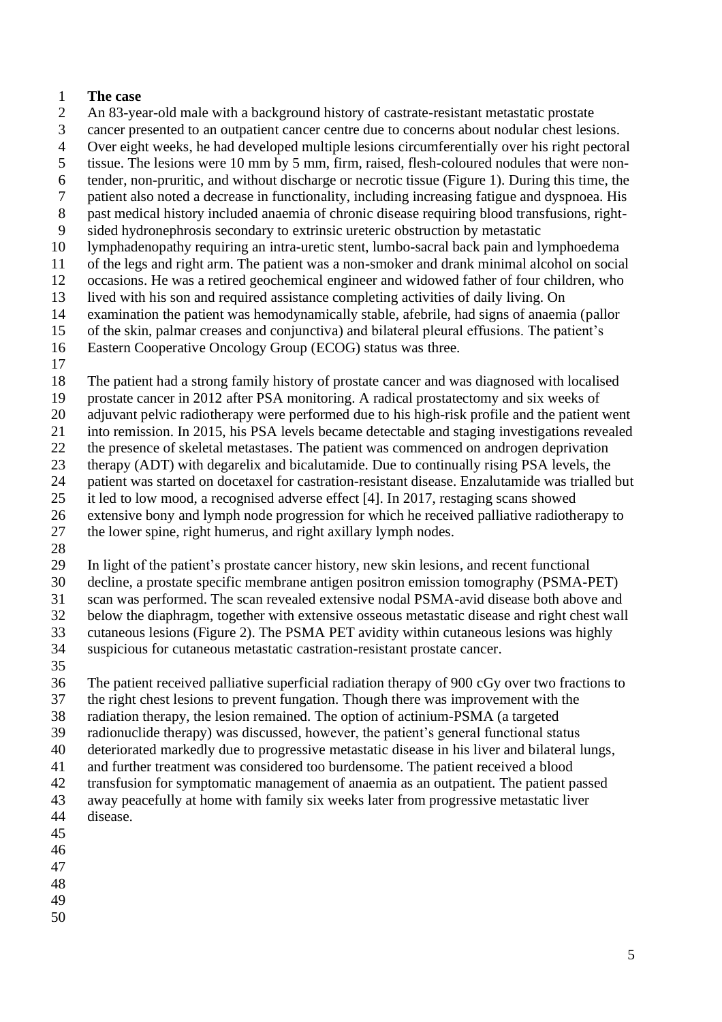#### **The case**

- An 83-year-old male with a background history of castrate-resistant metastatic prostate
- cancer presented to an outpatient cancer centre due to concerns about nodular chest lesions.
- Over eight weeks, he had developed multiple lesions circumferentially over his right pectoral
- tissue. The lesions were 10 mm by 5 mm, firm, raised, flesh-coloured nodules that were non-
- tender, non-pruritic, and without discharge or necrotic tissue (Figure 1). During this time, the
- patient also noted a decrease in functionality, including increasing fatigue and dyspnoea. His
- past medical history included anaemia of chronic disease requiring blood transfusions, right-
- sided hydronephrosis secondary to extrinsic ureteric obstruction by metastatic
- lymphadenopathy requiring an intra-uretic stent, lumbo-sacral back pain and lymphoedema
- of the legs and right arm. The patient was a non-smoker and drank minimal alcohol on social
- occasions. He was a retired geochemical engineer and widowed father of four children, who
- lived with his son and required assistance completing activities of daily living. On
- examination the patient was hemodynamically stable, afebrile, had signs of anaemia (pallor
- of the skin, palmar creases and conjunctiva) and bilateral pleural effusions. The patient's
- Eastern Cooperative Oncology Group (ECOG) status was three.
- 
- The patient had a strong family history of prostate cancer and was diagnosed with localised
- prostate cancer in 2012 after PSA monitoring. A radical prostatectomy and six weeks of
- adjuvant pelvic radiotherapy were performed due to his high-risk profile and the patient went
- into remission. In 2015, his PSA levels became detectable and staging investigations revealed
- the presence of skeletal metastases. The patient was commenced on androgen deprivation
- therapy (ADT) with degarelix and bicalutamide. Due to continually rising PSA levels, the
- patient was started on docetaxel for castration-resistant disease. Enzalutamide was trialled but
- it led to low mood, a recognised adverse effect [4]. In 2017, restaging scans showed
- extensive bony and lymph node progression for which he received palliative radiotherapy to
- the lower spine, right humerus, and right axillary lymph nodes.
- 

In light of the patient's prostate cancer history, new skin lesions, and recent functional

 decline, a prostate specific membrane antigen positron emission tomography (PSMA-PET) scan was performed. The scan revealed extensive nodal PSMA-avid disease both above and

below the diaphragm, together with extensive osseous metastatic disease and right chest wall

cutaneous lesions (Figure 2). The PSMA PET avidity within cutaneous lesions was highly

- suspicious for cutaneous metastatic castration-resistant prostate cancer.
- 

The patient received palliative superficial radiation therapy of 900 cGy over two fractions to

- the right chest lesions to prevent fungation. Though there was improvement with the
- radiation therapy, the lesion remained. The option of actinium-PSMA (a targeted
- radionuclide therapy) was discussed, however, the patient's general functional status
- deteriorated markedly due to progressive metastatic disease in his liver and bilateral lungs,
- and further treatment was considered too burdensome. The patient received a blood
- transfusion for symptomatic management of anaemia as an outpatient. The patient passed away peacefully at home with family six weeks later from progressive metastatic liver
- disease.
- 
- 
- 
- 
-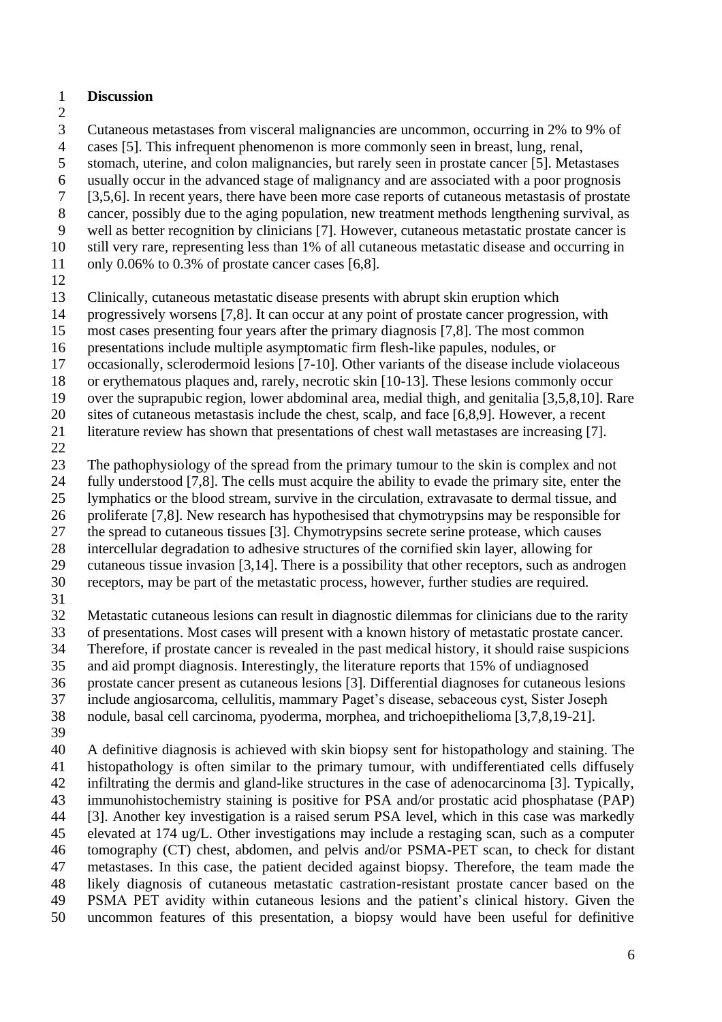#### **Discussion**

Cutaneous metastases from visceral malignancies are uncommon, occurring in 2% to 9% of

cases [5]. This infrequent phenomenon is more commonly seen in breast, lung, renal,

- stomach, uterine, and colon malignancies, but rarely seen in prostate cancer [5]. Metastases
- 6 usually occur in the advanced stage of malignancy and are associated with a poor prognosis <br>
5.5.6. In recent vears, there have been more case reports of cutaneous metastasis of prostate
- [3,5,6]. In recent years, there have been more case reports of cutaneous metastasis of prostate
- cancer, possibly due to the aging population, new treatment methods lengthening survival, as
- well as better recognition by clinicians [7]. However, cutaneous metastatic prostate cancer is
- still very rare, representing less than 1% of all cutaneous metastatic disease and occurring in
- only 0.06% to 0.3% of prostate cancer cases [6,8].
- 

Clinically, cutaneous metastatic disease presents with abrupt skin eruption which

- progressively worsens [7,8]. It can occur at any point of prostate cancer progression, with
- most cases presenting four years after the primary diagnosis [7,8]. The most common
- presentations include multiple asymptomatic firm flesh-like papules, nodules, or
- occasionally, sclerodermoid lesions [7-10]. Other variants of the disease include violaceous
- or erythematous plaques and, rarely, necrotic skin [10-13]. These lesions commonly occur
- over the suprapubic region, lower abdominal area, medial thigh, and genitalia [3,5,8,10]. Rare
- sites of cutaneous metastasis include the chest, scalp, and face [6,8,9]. However, a recent
- literature review has shown that presentations of chest wall metastases are increasing [7].
- 

The pathophysiology of the spread from the primary tumour to the skin is complex and not

- fully understood [7,8]. The cells must acquire the ability to evade the primary site, enter the
- lymphatics or the blood stream, survive in the circulation, extravasate to dermal tissue, and
- proliferate [7,8]. New research has hypothesised that chymotrypsins may be responsible for
- the spread to cutaneous tissues [3]. Chymotrypsins secrete serine protease, which causes
- 
- 28 intercellular degradation to adhesive structures of the cornified skin layer, allowing for cutaneous tissue invasion [3.14]. There is a possibility that other receptors, such as and cutaneous tissue invasion [3,14]. There is a possibility that other receptors, such as androgen
- receptors, may be part of the metastatic process, however, further studies are required.
- 

Metastatic cutaneous lesions can result in diagnostic dilemmas for clinicians due to the rarity

- of presentations. Most cases will present with a known history of metastatic prostate cancer.
- Therefore, if prostate cancer is revealed in the past medical history, it should raise suspicions
- and aid prompt diagnosis. Interestingly, the literature reports that 15% of undiagnosed
- prostate cancer present as cutaneous lesions [3]. Differential diagnoses for cutaneous lesions
- include angiosarcoma, cellulitis, mammary Paget's disease, sebaceous cyst, Sister Joseph
- nodule, basal cell carcinoma, pyoderma, morphea, and trichoepithelioma [3,7,8,19-21].
- 
- A definitive diagnosis is achieved with skin biopsy sent for histopathology and staining. The histopathology is often similar to the primary tumour, with undifferentiated cells diffusely infiltrating the dermis and gland-like structures in the case of adenocarcinoma [3]. Typically, immunohistochemistry staining is positive for PSA and/or prostatic acid phosphatase (PAP) [3]. Another key investigation is a raised serum PSA level, which in this case was markedly elevated at 174 ug/L. Other investigations may include a restaging scan, such as a computer tomography (CT) chest, abdomen, and pelvis and/or PSMA-PET scan, to check for distant metastases. In this case, the patient decided against biopsy. Therefore, the team made the likely diagnosis of cutaneous metastatic castration-resistant prostate cancer based on the PSMA PET avidity within cutaneous lesions and the patient's clinical history. Given the uncommon features of this presentation, a biopsy would have been useful for definitive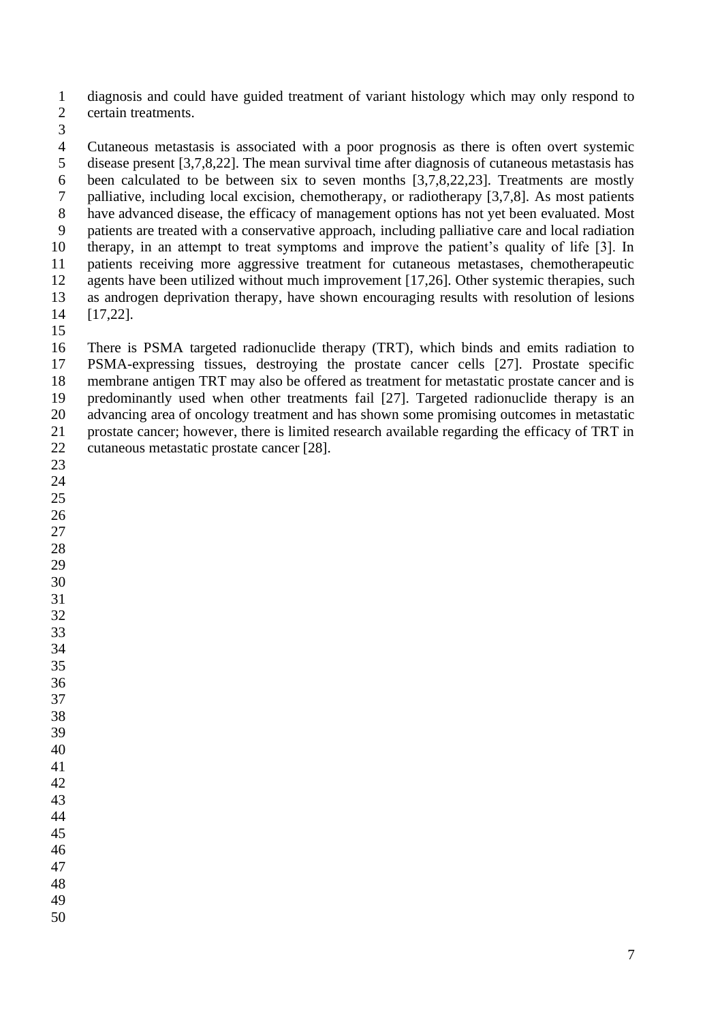diagnosis and could have guided treatment of variant histology which may only respond to certain treatments.

 Cutaneous metastasis is associated with a poor prognosis as there is often overt systemic disease present [3,7,8,22]. The mean survival time after diagnosis of cutaneous metastasis has been calculated to be between six to seven months [3,7,8,22,23]. Treatments are mostly palliative, including local excision, chemotherapy, or radiotherapy [3,7,8]. As most patients have advanced disease, the efficacy of management options has not yet been evaluated. Most patients are treated with a conservative approach, including palliative care and local radiation therapy, in an attempt to treat symptoms and improve the patient's quality of life [3]. In patients receiving more aggressive treatment for cutaneous metastases, chemotherapeutic agents have been utilized without much improvement [17,26]. Other systemic therapies, such as androgen deprivation therapy, have shown encouraging results with resolution of lesions [17,22].

 There is PSMA targeted radionuclide therapy (TRT), which binds and emits radiation to PSMA-expressing tissues, destroying the prostate cancer cells [27]. Prostate specific membrane antigen TRT may also be offered as treatment for metastatic prostate cancer and is predominantly used when other treatments fail [27]. Targeted radionuclide therapy is an advancing area of oncology treatment and has shown some promising outcomes in metastatic prostate cancer; however, there is limited research available regarding the efficacy of TRT in cutaneous metastatic prostate cancer [28].

- 
- 
-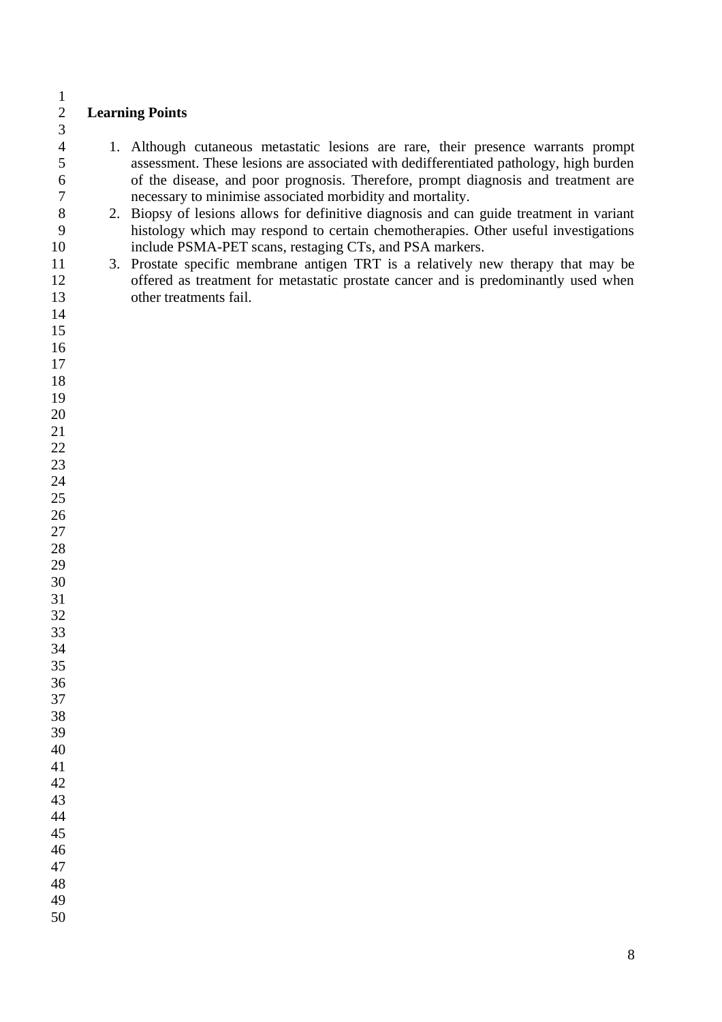# **Learning Points**

- 1. Although cutaneous metastatic lesions are rare, their presence warrants prompt assessment. These lesions are associated with dedifferentiated pathology, high burden of the disease, and poor prognosis. Therefore, prompt diagnosis and treatment are necessary to minimise associated morbidity and mortality.
- 2. Biopsy of lesions allows for definitive diagnosis and can guide treatment in variant histology which may respond to certain chemotherapies. Other useful investigations include PSMA-PET scans, restaging CTs, and PSA markers.
- 3. Prostate specific membrane antigen TRT is a relatively new therapy that may be offered as treatment for metastatic prostate cancer and is predominantly used when other treatments fail.

 $\frac{1}{2}$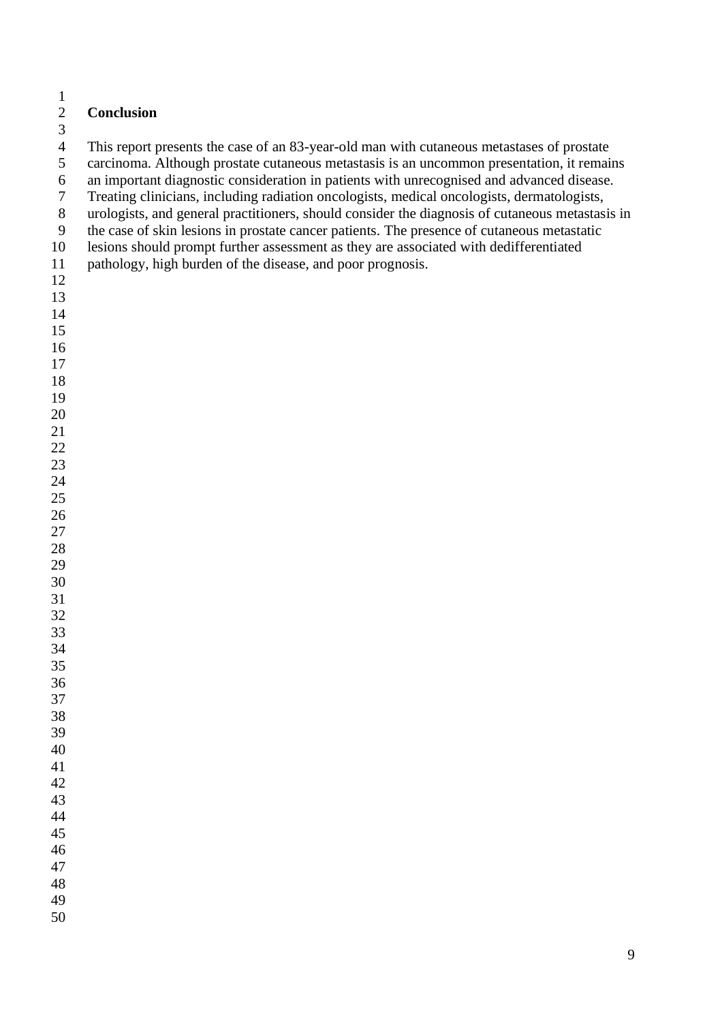#### $\frac{1}{2}$ **Conclusion**

This report presents the case of an 83-year-old man with cutaneous metastases of prostate

carcinoma. Although prostate cutaneous metastasis is an uncommon presentation, it remains

6 an important diagnostic consideration in patients with unrecognised and advanced disease.<br>
Treating clinicians, including radiation oncologists, medical oncologists, dermatologists.

- Treating clinicians, including radiation oncologists, medical oncologists, dermatologists,
- urologists, and general practitioners, should consider the diagnosis of cutaneous metastasis in
- the case of skin lesions in prostate cancer patients. The presence of cutaneous metastatic
- lesions should prompt further assessment as they are associated with dedifferentiated
- pathology, high burden of the disease, and poor prognosis.
- 
- 
- 
- 
- 
- 
- 
- 
- 
- 
- 

- 
- 
- 
- 
- 
- 
- 
- 
- 
- 
- 
- 
- 
- 
- 

- 
- 
- 
- 
-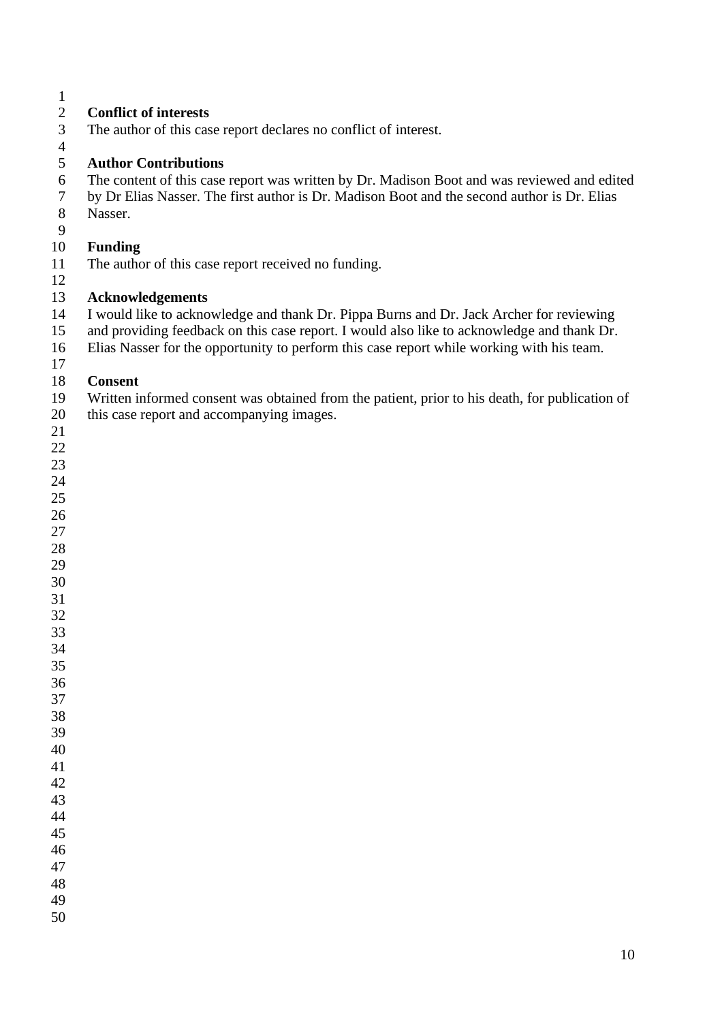# **Conflict of interests**

- The author of this case report declares no conflict of interest.
- 

#### **Author Contributions**

- 6 The content of this case report was written by Dr. Madison Boot and was reviewed and edited<br>7 by Dr Elias Nasser. The first author is Dr. Madison Boot and the second author is Dr. Elias
- by Dr Elias Nasser. The first author is Dr. Madison Boot and the second author is Dr. Elias Nasser.
- 

# **Funding**

- The author of this case report received no funding.
- 

# **Acknowledgements**

- I would like to acknowledge and thank Dr. Pippa Burns and Dr. Jack Archer for reviewing
- and providing feedback on this case report. I would also like to acknowledge and thank Dr.
- Elias Nasser for the opportunity to perform this case report while working with his team.

#### **Consent**

Written informed consent was obtained from the patient, prior to his death, for publication of

- this case report and accompanying images.
- 
- 
- 
- 
- 
- 
- 
- 
-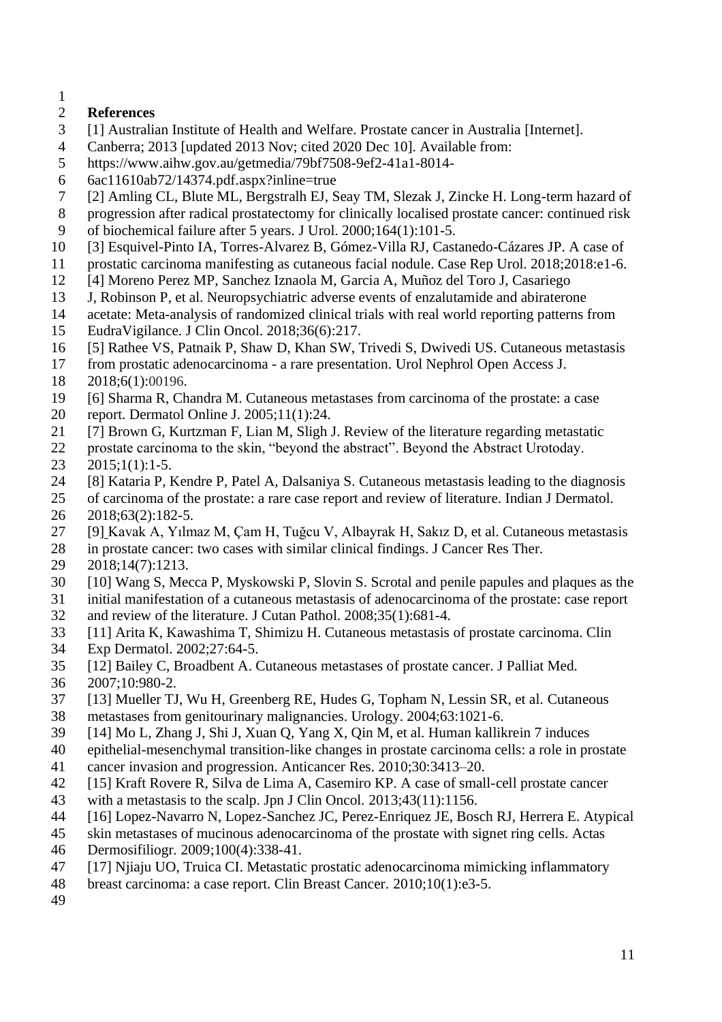# **References**

- [1] Australian Institute of Health and Welfare. Prostate cancer in Australia [Internet].
- Canberra; 2013 [updated 2013 Nov; cited 2020 Dec 10]. Available from:
- https://www.aihw.gov.au/getmedia/79bf7508-9ef2-41a1-8014-
- 6ac11610ab72/14374.pdf.aspx?inline=true
- [2] Amling CL, Blute ML, Bergstralh EJ, Seay TM, Slezak J, Zincke H. Long-term hazard of
- progression after radical prostatectomy for clinically localised prostate cancer: continued risk
- of biochemical failure after 5 years. J Urol. 2000;164(1):101-5.
- [3] Esquivel-Pinto IA, Torres-Alvarez B, Gómez-Villa RJ, Castanedo-Cázares JP. A case of
- prostatic carcinoma manifesting as cutaneous facial nodule. Case Rep Urol. 2018;2018:e1-6.
- [4] Moreno Perez MP, Sanchez Iznaola M, Garcia A, Muñoz del Toro J, Casariego
- J, Robinson P, et al. Neuropsychiatric adverse events of enzalutamide and abiraterone
- acetate: Meta-analysis of randomized clinical trials with real world reporting patterns from
- EudraVigilance. J Clin Oncol. 2018;36(6):217.
- [5] Rathee VS, Patnaik P, Shaw D, Khan SW, Trivedi S, Dwivedi US. Cutaneous metastasis
- from prostatic adenocarcinoma a rare presentation. Urol Nephrol Open Access J.
- 2018;6(1):00196.
- [6] Sharma R, Chandra M. Cutaneous metastases from carcinoma of the prostate: a case
- report. Dermatol Online J. 2005;11(1):24.
- [7] Brown G, Kurtzman F, Lian M, Sligh J. Review of the literature regarding metastatic
- prostate carcinoma to the skin, "beyond the abstract". Beyond the Abstract Urotoday.
- $23 \quad 2015;1(1):1-5.$
- [8] Kataria P, Kendre P, Patel A, Dalsaniya S. Cutaneous metastasis leading to the diagnosis
- of carcinoma of the prostate: a rare case report and review of literature. Indian J Dermatol. 2018;63(2):182-5.
- [9] Kavak A, Yılmaz M, Çam H, Tuğcu V, Albayrak H, Sakız D, et al. Cutaneous metastasis
- 28 in prostate cancer: two cases with similar clinical findings. J Cancer Res Ther.<br>29 2018:14(7):1213.
- 2018;14(7):1213.
- [10] Wang S, Mecca P, Myskowski P, Slovin S. Scrotal and penile papules and plaques as the
- initial manifestation of a cutaneous metastasis of adenocarcinoma of the prostate: case report
- and review of the literature. J Cutan Pathol. 2008;35(1):681-4.
- [11] Arita K, Kawashima T, Shimizu H. Cutaneous metastasis of prostate carcinoma. Clin
- Exp Dermatol. 2002;27:64-5.
- [12] Bailey C, Broadbent A. Cutaneous metastases of prostate cancer. J Palliat Med.
- 2007;10:980-2.
- [13] Mueller TJ, Wu H, Greenberg RE, Hudes G, Topham N, Lessin SR, et al*.* Cutaneous
- metastases from genitourinary malignancies. Urology. 2004;63:1021-6.
- [14] Mo L, Zhang J, Shi J, Xuan Q, Yang X, Qin M, et al. Human kallikrein 7 induces
- epithelial-mesenchymal transition-like changes in prostate carcinoma cells: a role in prostate cancer invasion and progression. Anticancer Res. 2010;30:3413–20.
- [15] Kraft Rovere R, Silva de Lima A, Casemiro KP. A case of small-cell prostate cancer
- with a metastasis to the scalp. Jpn J Clin Oncol*.* 2013;43(11):1156.
- [16] Lopez-Navarro N, Lopez-Sanchez JC, Perez-Enriquez JE, Bosch RJ, Herrera E. Atypical
- skin metastases of mucinous adenocarcinoma of the prostate with signet ring cells. Actas
- Dermosifiliogr*.* 2009;100(4):338-41.
- [17] Njiaju UO, Truica CI. Metastatic prostatic adenocarcinoma mimicking inflammatory
- breast carcinoma: a case report. Clin Breast Cancer*.* 2010;10(1):e3-5.
-